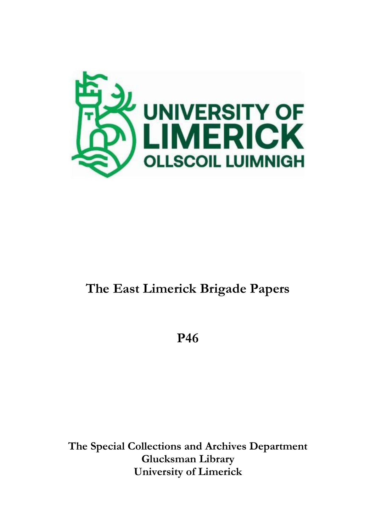

# **The East Limerick Brigade Papers**

**P46**

**The Special Collections and Archives Department Glucksman Library University of Limerick**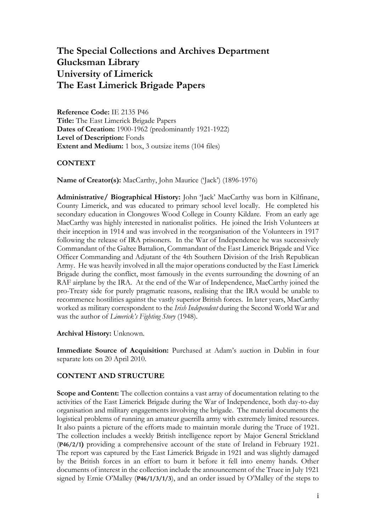# **The Special Collections and Archives Department Glucksman Library University of Limerick The East Limerick Brigade Papers**

**Reference Code:** IE 2135 P46 **Title:** The East Limerick Brigade Papers **Dates of Creation:** 1900-1962 (predominantly 1921-1922) **Level of Description:** Fonds **Extent and Medium:** 1 box, 3 outsize items (104 files)

### **CONTEXT**

**Name of Creator(s):** MacCarthy, John Maurice ('Jack') (1896-1976)

**Administrative/ Biographical History:** John 'Jack' MacCarthy was born in Kilfinane, County Limerick, and was educated to primary school level locally. He completed his secondary education in Clongowes Wood College in County Kildare. From an early age MacCarthy was highly interested in nationalist politics. He joined the Irish Volunteers at their inception in 1914 and was involved in the reorganisation of the Volunteers in 1917 following the release of IRA prisoners. In the War of Independence he was successively Commandant of the Galtee Battalion, Commandant of the East Limerick Brigade and Vice Officer Commanding and Adjutant of the 4th Southern Division of the Irish Republican Army. He was heavily involved in all the major operations conducted by the East Limerick Brigade during the conflict, most famously in the events surrounding the downing of an RAF airplane by the IRA. At the end of the War of Independence, MacCarthy joined the pro-Treaty side for purely pragmatic reasons, realising that the IRA would be unable to recommence hostilities against the vastly superior British forces. In later years, MacCarthy worked as military correspondent to the *Irish Independent* during the Second World War and was the author of *Limerick's Fighting Story* (1948).

#### **Archival History:** Unknown.

**Immediate Source of Acquisition:** Purchased at Adam's auction in Dublin in four separate lots on 20 April 2010.

## **CONTENT AND STRUCTURE**

**Scope and Content:** The collection contains a vast array of documentation relating to the activities of the East Limerick Brigade during the War of Independence, both day-to-day organisation and military engagements involving the brigade. The material documents the logistical problems of running an amateur guerrilla army with extremely limited resources. It also paints a picture of the efforts made to maintain morale during the Truce of 1921. The collection includes a weekly British intelligence report by Major General Strickland (**P46/2/1)** providing a comprehensive account of the state of Ireland in February 1921. The report was captured by the East Limerick Brigade in 1921 and was slightly damaged by the British forces in an effort to burn it before it fell into enemy hands. Other documents of interest in the collection include the announcement of the Truce in July 1921 signed by Ernie O'Malley (**P46/1/3/1/3**), and an order issued by O'Malley of the steps to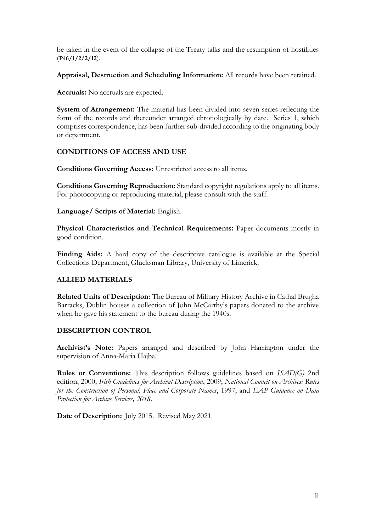be taken in the event of the collapse of the Treaty talks and the resumption of hostilities (**P46/1/2/2/12**).

**Appraisal, Destruction and Scheduling Information:** All records have been retained.

**Accruals:** No accruals are expected.

**System of Arrangement:** The material has been divided into seven series reflecting the form of the records and thereunder arranged chronologically by date. Series 1, which comprises correspondence, has been further sub-divided according to the originating body or department.

## **CONDITIONS OF ACCESS AND USE**

**Conditions Governing Access:** Unrestricted access to all items.

**Conditions Governing Reproduction:** Standard copyright regulations apply to all items. For photocopying or reproducing material, please consult with the staff.

**Language/ Scripts of Material:** English.

**Physical Characteristics and Technical Requirements:** Paper documents mostly in good condition.

Finding Aids: A hard copy of the descriptive catalogue is available at the Special Collections Department, Glucksman Library, University of Limerick.

## **ALLIED MATERIALS**

**Related Units of Description:** The Bureau of Military History Archive in Cathal Brugha Barracks, Dublin houses a collection of John McCarthy's papers donated to the archive when he gave his statement to the bureau during the 1940s.

## **DESCRIPTION CONTROL**

**Archivist's Note:** Papers arranged and described by John Harrington under the supervision of Anna-Maria Hajba.

**Rules or Conventions:** This description follows guidelines based on *ISAD(G)* 2nd edition, 2000; *Irish Guidelines for Archival Description*, 2009; *National Council on Archives: Rules for the Construction of Personal, Place and Corporate Names*, 1997; and *EAP Guidance on Data Protection for Archive Services, 2018*.

**Date of Description:** July 2015. Revised May 2021.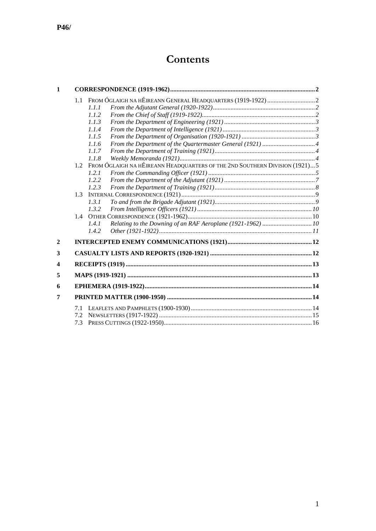# **Contents**

| $\mathbf{1}$            |                   |                                                                                 |  |
|-------------------------|-------------------|---------------------------------------------------------------------------------|--|
|                         | 1.1               | 1.1.1                                                                           |  |
|                         |                   | 1.1.2                                                                           |  |
|                         |                   | 1.1.3                                                                           |  |
|                         |                   | 1.1.4                                                                           |  |
|                         |                   | 1.1.5                                                                           |  |
|                         |                   | 1.1.6                                                                           |  |
|                         |                   | 1.1.7                                                                           |  |
|                         |                   | 1.1.8                                                                           |  |
|                         |                   | 1.2 FROM ÓGLAIGH NA HÉIREANN HEADQUARTERS OF THE 2ND SOUTHERN DIVISION (1921) 5 |  |
|                         |                   | 1.2.1                                                                           |  |
|                         |                   | 1.2.2                                                                           |  |
|                         |                   | 1.2.3                                                                           |  |
|                         |                   |                                                                                 |  |
|                         |                   | 1.3.1                                                                           |  |
|                         |                   | 1.3.2                                                                           |  |
|                         |                   | 1.4.1                                                                           |  |
|                         |                   | Relating to the Downing of an RAF Aeroplane (1921-1962)  10<br>1.4.2            |  |
| $\mathbf{2}$            |                   |                                                                                 |  |
| 3                       |                   |                                                                                 |  |
| $\overline{\mathbf{4}}$ |                   |                                                                                 |  |
| 5                       |                   |                                                                                 |  |
| 6                       |                   |                                                                                 |  |
| 7                       |                   |                                                                                 |  |
|                         | 7.1<br>7.2<br>7.3 |                                                                                 |  |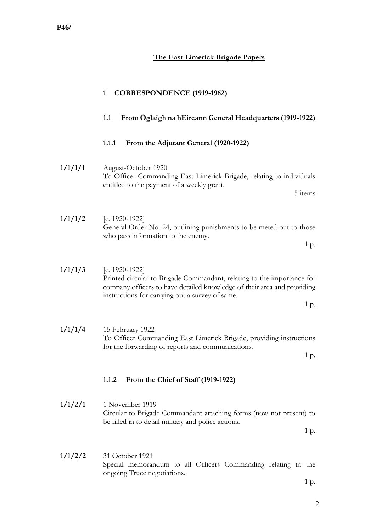<span id="page-4-3"></span><span id="page-4-2"></span><span id="page-4-1"></span><span id="page-4-0"></span>

|         | <b>CORRESPONDENCE (1919-1962)</b><br>$\mathbf{1}$                                                                                                                                                                                 |
|---------|-----------------------------------------------------------------------------------------------------------------------------------------------------------------------------------------------------------------------------------|
|         | 1.1<br>From Oglaigh na hÉireann General Headquarters (1919-1922)                                                                                                                                                                  |
|         | From the Adjutant General (1920-1922)<br>1.1.1                                                                                                                                                                                    |
| 1/1/1/1 | August-October 1920<br>To Officer Commanding East Limerick Brigade, relating to individuals<br>entitled to the payment of a weekly grant.<br>5 items                                                                              |
| 1/1/1/2 | [c. 1920-1922]<br>General Order No. 24, outlining punishments to be meted out to those<br>who pass information to the enemy.<br>1 p.                                                                                              |
| 1/1/1/3 | [c. $1920-1922$ ]<br>Printed circular to Brigade Commandant, relating to the importance for<br>company officers to have detailed knowledge of their area and providing<br>instructions for carrying out a survey of same.<br>1 p. |
| 1/1/1/4 | 15 February 1922<br>To Officer Commanding East Limerick Brigade, providing instructions<br>for the forwarding of reports and communications.<br>1 p.                                                                              |
|         | 1.1.2<br>From the Chief of Staff (1919-1922)                                                                                                                                                                                      |
| 1/1/2/1 | 1 November 1919<br>Circular to Brigade Commandant attaching forms (now not present) to<br>be filled in to detail military and police actions.<br>1 p.                                                                             |
| 1/1/2/2 | 31 October 1921<br>Special memorandum to all Officers Commanding relating to the<br>ongoing Truce negotiations.<br>1 p.                                                                                                           |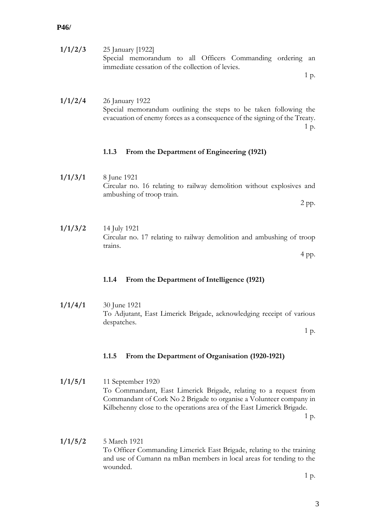| 1/1/2/3 | 25 January [1922]                                         |  |  |  |
|---------|-----------------------------------------------------------|--|--|--|
|         | Special memorandum to all Officers Commanding ordering an |  |  |  |
|         | immediate cessation of the collection of levies.          |  |  |  |

1 p.

**1/1/2/4** 26 January 1922 Special memorandum outlining the steps to be taken following the evacuation of enemy forces as a consequence of the signing of the Treaty. 1 p.

## <span id="page-5-0"></span>**1.1.3 From the Department of Engineering (1921)**

**1/1/3/1** 8 June 1921 Circular no. 16 relating to railway demolition without explosives and ambushing of troop train. 2 pp.

**1/1/3/2** 14 July 1921 Circular no. 17 relating to railway demolition and ambushing of troop trains.

4 pp.

#### <span id="page-5-1"></span>**1.1.4 From the Department of Intelligence (1921)**

**1/1/4/1** 30 June 1921 To Adjutant, East Limerick Brigade, acknowledging receipt of various despatches.

1 p.

## <span id="page-5-2"></span>**1.1.5 From the Department of Organisation (1920-1921)**

**1/1/5/1** 11 September 1920 To Commandant, East Limerick Brigade, relating to a request from Commandant of Cork No 2 Brigade to organise a Volunteer company in Kilbehenny close to the operations area of the East Limerick Brigade. 1 p.

**1/1/5/2** 5 March 1921 To Officer Commanding Limerick East Brigade, relating to the training and use of Cumann na mBan members in local areas for tending to the wounded.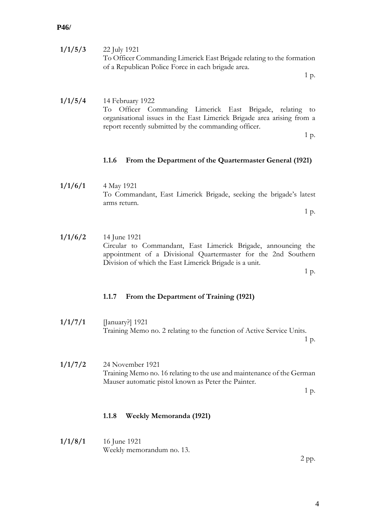<span id="page-6-1"></span><span id="page-6-0"></span>

| 1/1/5/3 | 22 July 1921<br>To Officer Commanding Limerick East Brigade relating to the formation<br>of a Republican Police Force in each brigade area.<br>1 p.                                                                    |
|---------|------------------------------------------------------------------------------------------------------------------------------------------------------------------------------------------------------------------------|
| 1/1/5/4 | 14 February 1922<br>To Officer Commanding Limerick East Brigade, relating to<br>organisational issues in the East Limerick Brigade area arising from a<br>report recently submitted by the commanding officer.<br>1 p. |
|         | 1.1.6<br>From the Department of the Quartermaster General (1921)                                                                                                                                                       |
| 1/1/6/1 | 4 May 1921<br>To Commandant, East Limerick Brigade, seeking the brigade's latest<br>arms return.<br>1 p.                                                                                                               |
|         |                                                                                                                                                                                                                        |
| 1/1/6/2 | 14 June 1921<br>Circular to Commandant, East Limerick Brigade, announcing the<br>appointment of a Divisional Quartermaster for the 2nd Southern<br>Division of which the East Limerick Brigade is a unit.<br>1 p.      |
|         | 1.1.7<br>From the Department of Training (1921)                                                                                                                                                                        |
| 1/1/7/1 | [January?] 1921<br>Training Memo no. 2 relating to the function of Active Service Units.<br>1 p.                                                                                                                       |
| 1/1/7/2 | 24 November 1921<br>Training Memo no. 16 relating to the use and maintenance of the German<br>Mauser automatic pistol known as Peter the Painter.<br>1 p.                                                              |
|         | 1.1.8<br><b>Weekly Memoranda (1921)</b>                                                                                                                                                                                |
| 1/1/8/1 | 16 June 1921<br>Weekly memorandum no. 13.                                                                                                                                                                              |

<span id="page-6-2"></span>2 pp.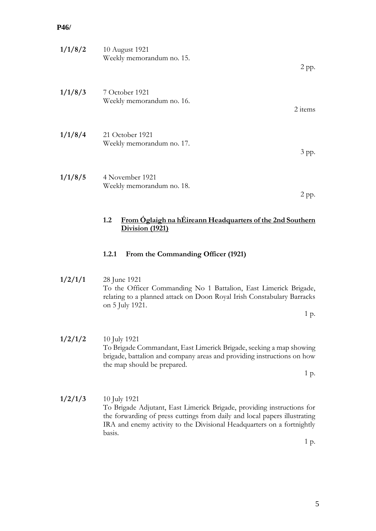| 1/1/8/2 | 10 August 1921<br>Weekly memorandum no. 15.                                                | 2 pp.   |
|---------|--------------------------------------------------------------------------------------------|---------|
| 1/1/8/3 | 7 October 1921<br>Weekly memorandum no. 16.                                                | 2 items |
| 1/1/8/4 | 21 October 1921<br>Weekly memorandum no. 17.                                               | 3 pp.   |
| 1/1/8/5 | 4 November 1921<br>Weekly memorandum no. 18.                                               | 2 pp.   |
|         | From Óglaigh na hÉireann Headquarters of the 2nd Southern<br>1.2<br><b>Division (1921)</b> |         |
|         | 1.2.1<br>From the Commanding Officer (1921)                                                |         |
| 1/2/1/1 | 28 June 1921                                                                               |         |

<span id="page-7-1"></span><span id="page-7-0"></span>To the Officer Commanding No 1 Battalion, East Limerick Brigade, relating to a planned attack on Doon Royal Irish Constabulary Barracks on 5 July 1921.

1 p.

**1/2/1/2** 10 July 1921 To Brigade Commandant, East Limerick Brigade, seeking a map showing brigade, battalion and company areas and providing instructions on how the map should be prepared.

1 p.

**1/2/1/3** 10 July 1921 To Brigade Adjutant, East Limerick Brigade, providing instructions for the forwarding of press cuttings from daily and local papers illustrating IRA and enemy activity to the Divisional Headquarters on a fortnightly basis.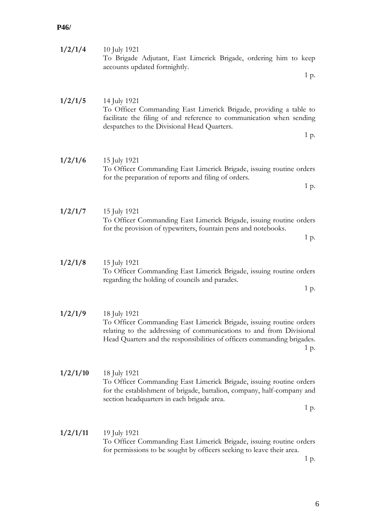| 1/2/1/4  | 10 July 1921<br>To Brigade Adjutant, East Limerick Brigade, ordering him to keep<br>accounts updated fortnightly.<br>1 p.                                                                                                                     |
|----------|-----------------------------------------------------------------------------------------------------------------------------------------------------------------------------------------------------------------------------------------------|
| 1/2/1/5  | 14 July 1921<br>To Officer Commanding East Limerick Brigade, providing a table to<br>facilitate the filing of and reference to communication when sending<br>despatches to the Divisional Head Quarters.<br>1 p.                              |
| 1/2/1/6  | 15 July 1921<br>To Officer Commanding East Limerick Brigade, issuing routine orders<br>for the preparation of reports and filing of orders.<br>1 p.                                                                                           |
| 1/2/1/7  | 15 July 1921<br>To Officer Commanding East Limerick Brigade, issuing routine orders<br>for the provision of typewriters, fountain pens and notebooks.<br>1 p.                                                                                 |
| 1/2/1/8  | 15 July 1921<br>To Officer Commanding East Limerick Brigade, issuing routine orders<br>regarding the holding of councils and parades.<br>1 p.                                                                                                 |
| 1/2/1/9  | 18 July 1921<br>To Officer Commanding East Limerick Brigade, issuing routine orders<br>relating to the addressing of communications to and from Divisional<br>Head Quarters and the responsibilities of officers commanding brigades.<br>1 p. |
| 1/2/1/10 | 18 July 1921<br>To Officer Commanding East Limerick Brigade, issuing routine orders<br>for the establishment of brigade, battalion, company, half-company and<br>section headquarters in each brigade area.<br>1 p.                           |
| 1/2/1/11 | 19 July 1921<br>To Officer Commanding East Limerick Brigade, issuing routine orders<br>for permissions to be sought by officers seeking to leave their area.                                                                                  |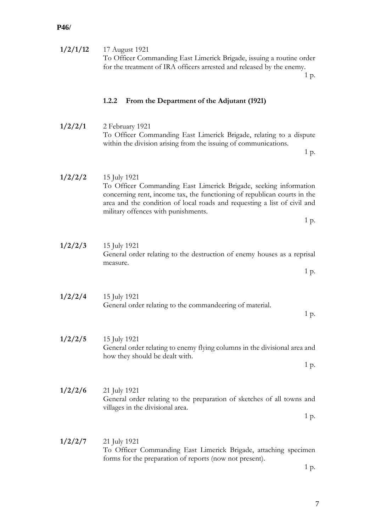<span id="page-9-0"></span>

| 1/2/1/12 | 17 August 1921<br>To Officer Commanding East Limerick Brigade, issuing a routine order<br>for the treatment of IRA officers arrested and released by the enemy.<br>1 p.                                                                                                                 |
|----------|-----------------------------------------------------------------------------------------------------------------------------------------------------------------------------------------------------------------------------------------------------------------------------------------|
|          | 1.2.2<br>From the Department of the Adjutant (1921)                                                                                                                                                                                                                                     |
| 1/2/2/1  | 2 February 1921<br>To Officer Commanding East Limerick Brigade, relating to a dispute<br>within the division arising from the issuing of communications.<br>1 p.                                                                                                                        |
| 1/2/2/2  | 15 July 1921<br>To Officer Commanding East Limerick Brigade, seeking information<br>concerning rent, income tax, the functioning of republican courts in the<br>area and the condition of local roads and requesting a list of civil and<br>military offences with punishments.<br>1 p. |
| 1/2/2/3  | 15 July 1921<br>General order relating to the destruction of enemy houses as a reprisal<br>measure.<br>1 p.                                                                                                                                                                             |
| 1/2/2/4  | 15 July 1921<br>General order relating to the commandeering of material.<br>1 p.                                                                                                                                                                                                        |
| 1/2/2/5  | 15 July 1921<br>General order relating to enemy flying columns in the divisional area and<br>how they should be dealt with.<br>1 p.                                                                                                                                                     |
| 1/2/2/6  | 21 July 1921<br>General order relating to the preparation of sketches of all towns and<br>villages in the divisional area.<br>1 p.                                                                                                                                                      |
| 1/2/2/7  | 21 July 1921<br>To Officer Commanding East Limerick Brigade, attaching specimen<br>forms for the preparation of reports (now not present).<br>1 p.                                                                                                                                      |

7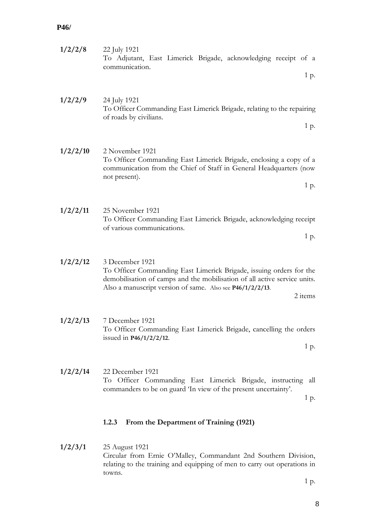<span id="page-10-0"></span>

| 1/2/2/8  | 22 July 1921<br>To Adjutant, East Limerick Brigade, acknowledging receipt of a<br>communication.                                                                                                                                            |
|----------|---------------------------------------------------------------------------------------------------------------------------------------------------------------------------------------------------------------------------------------------|
|          | 1 p.                                                                                                                                                                                                                                        |
| 1/2/2/9  | 24 July 1921<br>To Officer Commanding East Limerick Brigade, relating to the repairing<br>of roads by civilians.<br>1 p.                                                                                                                    |
| 1/2/2/10 | 2 November 1921<br>To Officer Commanding East Limerick Brigade, enclosing a copy of a<br>communication from the Chief of Staff in General Headquarters (now<br>not present).<br>1 p.                                                        |
| 1/2/2/11 | 25 November 1921<br>To Officer Commanding East Limerick Brigade, acknowledging receipt<br>of various communications.<br>1 p.                                                                                                                |
| 1/2/2/12 | 3 December 1921<br>To Officer Commanding East Limerick Brigade, issuing orders for the<br>demobilisation of camps and the mobilisation of all active service units.<br>Also a manuscript version of same. Also see P46/1/2/2/13.<br>2 items |
| 1/2/2/13 | 7 December 1921<br>To Officer Commanding East Limerick Brigade, cancelling the orders<br>issued in $P46/1/2/2/12$ .<br>1 p.                                                                                                                 |
| 1/2/2/14 | 22 December 1921<br>To Officer Commanding East Limerick Brigade, instructing<br>all<br>commanders to be on guard 'In view of the present uncertainty'.<br>1 p.                                                                              |
|          | 1.2.3<br>From the Department of Training (1921)                                                                                                                                                                                             |
| 1/2/3/1  | 25 August 1921<br>Circular from Ernie O'Malley, Commandant 2nd Southern Division,<br>relating to the training and equipping of men to carry out operations in<br>towns.                                                                     |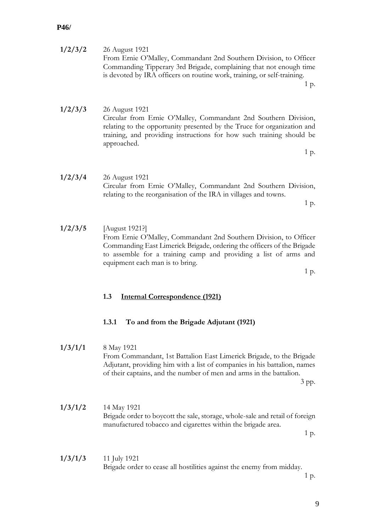| 1/2/3/2 | 26 August 1921                                                          |
|---------|-------------------------------------------------------------------------|
|         | From Ernie O'Malley, Commandant 2nd Southern Division, to Officer       |
|         | Commanding Tipperary 3rd Brigade, complaining that not enough time      |
|         | is devoted by IRA officers on routine work, training, or self-training. |
|         | 1 p.                                                                    |

**1/2/3/3** 26 August 1921 Circular from Ernie O'Malley, Commandant 2nd Southern Division, relating to the opportunity presented by the Truce for organization and training, and providing instructions for how such training should be approached.

1 p.

**1/2/3/4** 26 August 1921 Circular from Ernie O'Malley, Commandant 2nd Southern Division, relating to the reorganisation of the IRA in villages and towns.

1 p.

**1/2/3/5** [August 1921?] From Ernie O'Malley, Commandant 2nd Southern Division, to Officer Commanding East Limerick Brigade, ordering the officers of the Brigade to assemble for a training camp and providing a list of arms and equipment each man is to bring.

1 p.

#### <span id="page-11-0"></span>**1.3 Internal Correspondence (1921)**

#### <span id="page-11-1"></span>**1.3.1 To and from the Brigade Adjutant (1921)**

**1/3/1/1** 8 May 1921

From Commandant, 1st Battalion East Limerick Brigade, to the Brigade Adjutant, providing him with a list of companies in his battalion, names of their captains, and the number of men and arms in the battalion.

3 pp.

**1/3/1/2** 14 May 1921 Brigade order to boycott the sale, storage, whole-sale and retail of foreign manufactured tobacco and cigarettes within the brigade area.

1 p.

**1/3/1/3** 11 July 1921 Brigade order to cease all hostilities against the enemy from midday.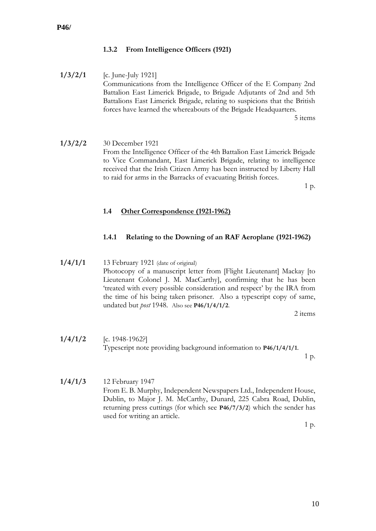## <span id="page-12-0"></span>**1.3.2 From Intelligence Officers (1921)**

- **1/3/2/1** [c. June-July 1921] Communications from the Intelligence Officer of the E Company 2nd Battalion East Limerick Brigade, to Brigade Adjutants of 2nd and 5th Battalions East Limerick Brigade, relating to suspicions that the British forces have learned the whereabouts of the Brigade Headquarters. 5 items
- **1/3/2/2** 30 December 1921 From the Intelligence Officer of the 4th Battalion East Limerick Brigade to Vice Commandant, East Limerick Brigade, relating to intelligence received that the Irish Citizen Army has been instructed by Liberty Hall to raid for arms in the Barracks of evacuating British forces.

1 p.

### <span id="page-12-1"></span>**1.4 Other Correspondence (1921-1962)**

### <span id="page-12-2"></span>**1.4.1 Relating to the Downing of an RAF Aeroplane (1921-1962)**

**1/4/1/1** 13 February 1921 (date of original) Photocopy of a manuscript letter from [Flight Lieutenant] Mackay [to Lieutenant Colonel J. M. MacCarthy], confirming that he has been 'treated with every possible consideration and respect' by the IRA from the time of his being taken prisoner. Also a typescript copy of same, undated but *post* 1948. Also see **P46/1/4/1/2**.

2 items

**1/4/1/2** [c. 1948-1962?] Typescript note providing background information to **P46/1/4/1/1**.

1 p.

**1/4/1/3** 12 February 1947 From E. B. Murphy, Independent Newspapers Ltd., Independent House, Dublin, to Major J. M. McCarthy, Dunard, 225 Cabra Road, Dublin, returning press cuttings (for which see **P46/7/3/2**) which the sender has used for writing an article.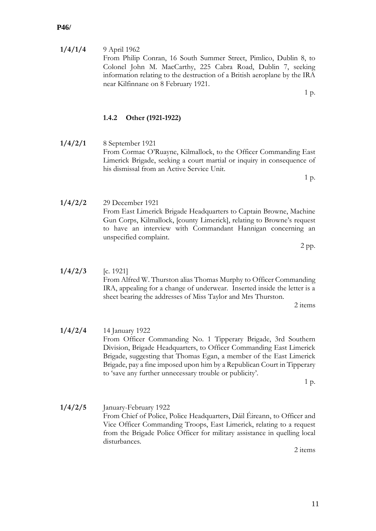**1/4/1/4** 9 April 1962 From Philip Conran, 16 South Summer Street, Pimlico, Dublin 8, to Colonel John M. MacCarthy, 225 Cabra Road, Dublin 7, seeking information relating to the destruction of a British aeroplane by the IRA near Kilfinnane on 8 February 1921.

1 p.

## <span id="page-13-0"></span>**1.4.2 Other (1921-1922)**

- **1/4/2/1** 8 September 1921 From Cormac O'Ruayne, Kilmallock, to the Officer Commanding East Limerick Brigade, seeking a court martial or inquiry in consequence of his dismissal from an Active Service Unit. 1 p.
- **1/4/2/2** 29 December 1921 From East Limerick Brigade Headquarters to Captain Browne, Machine Gun Corps, Kilmallock, [county Limerick], relating to Browne's request to have an interview with Commandant Hannigan concerning an unspecified complaint.
- **1/4/2/3** [c. 1921] From Alfred W. Thurston alias Thomas Murphy to Officer Commanding IRA, appealing for a change of underwear. Inserted inside the letter is a

2 items

**1/4/2/4** 14 January 1922 From Officer Commanding No. 1 Tipperary Brigade, 3rd Southern Division, Brigade Headquarters, to Officer Commanding East Limerick Brigade, suggesting that Thomas Egan, a member of the East Limerick Brigade, pay a fine imposed upon him by a Republican Court in Tipperary to 'save any further unnecessary trouble or publicity'.

1 p.

**1/4/2/5** January-February 1922 From Chief of Police, Police Headquarters, Dáil Éireann, to Officer and Vice Officer Commanding Troops, East Limerick, relating to a request from the Brigade Police Officer for military assistance in quelling local disturbances.

2 items

- 2 pp.
- sheet bearing the addresses of Miss Taylor and Mrs Thurston.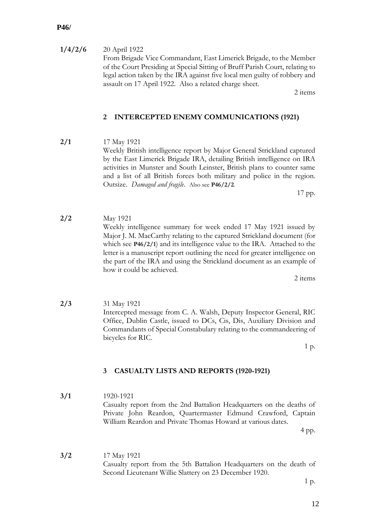**1/4/2/6** 20 April 1922

From Brigade Vice Commandant, East Limerick Brigade, to the Member of the Court Presiding at Special Sitting of Bruff Parish Court, relating to legal action taken by the IRA against five local men guilty of robbery and assault on 17 April 1922. Also a related charge sheet.

2 items

## <span id="page-14-0"></span>**2 INTERCEPTED ENEMY COMMUNICATIONS (1921)**

**2/1** 17 May 1921 Weekly British intelligence report by Major General Strickland captured by the East Limerick Brigade IRA, detailing British intelligence on IRA activities in Munster and South Leinster, British plans to counter same and a list of all British forces both military and police in the region. Outsize. *Damaged and fragile*. Also see **P46/2/2**.

**2/2** May 1921 Weekly intelligence summary for week ended 17 May 1921 issued by Major J. M. MacCarthy relating to the captured Strickland document (for which see **P46/2/1**) and its intelligence value to the IRA. Attached to the letter is a manuscript report outlining the need for greater intelligence on the part of the IRA and using the Strickland document as an example of how it could be achieved.

2 items

17 pp.

**2/3** 31 May 1921 Intercepted message from C. A. Walsh, Deputy Inspector General, RIC Office, Dublin Castle, issued to DCs, Cis, Dis, Auxiliary Division and Commandants of Special Constabulary relating to the commandeering of bicycles for RIC.

1 p.

## <span id="page-14-1"></span>**3 CASUALTY LISTS AND REPORTS (1920-1921)**

**3/1** 1920-1921 Casualty report from the 2nd Battalion Headquarters on the deaths of Private John Reardon, Quartermaster Edmund Crawford, Captain William Reardon and Private Thomas Howard at various dates.

4 pp.

**3/2** 17 May 1921 Casualty report from the 5th Battalion Headquarters on the death of Second Lieutenant Willie Slattery on 23 December 1920.

1 p.

12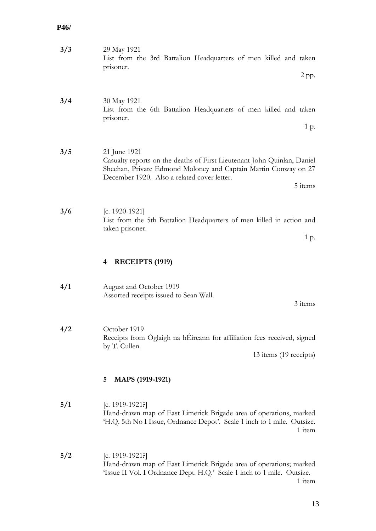<span id="page-15-1"></span><span id="page-15-0"></span>

| 3/3 | 29 May 1921<br>List from the 3rd Battalion Headquarters of men killed and taken<br>prisoner.<br>$2$ pp.                                                                                                              |
|-----|----------------------------------------------------------------------------------------------------------------------------------------------------------------------------------------------------------------------|
| 3/4 | 30 May 1921<br>List from the 6th Battalion Headquarters of men killed and taken<br>prisoner.<br>1 p.                                                                                                                 |
| 3/5 | 21 June 1921<br>Casualty reports on the deaths of First Lieutenant John Quinlan, Daniel<br>Sheehan, Private Edmond Moloney and Captain Martin Conway on 27<br>December 1920. Also a related cover letter.<br>5 items |
| 3/6 | [c. 1920-1921]<br>List from the 5th Battalion Headquarters of men killed in action and<br>taken prisoner.<br>1 p.                                                                                                    |
|     | RECEIPTS (1919)<br>4                                                                                                                                                                                                 |
| 4/1 | August and October 1919<br>Assorted receipts issued to Sean Wall.<br>3 items                                                                                                                                         |
| 4/2 | October 1919<br>Receipts from Óglaigh na hÉireann for affiliation fees received, signed<br>by T. Cullen.<br>13 items (19 receipts)                                                                                   |
|     | MAPS (1919-1921)<br>5                                                                                                                                                                                                |
| 5/1 | [c. 1919-1921?]<br>Hand-drawn map of East Limerick Brigade area of operations, marked<br>'H.Q. 5th No I Issue, Ordnance Depot'. Scale 1 inch to 1 mile. Outsize.<br>1 item                                           |
| 5/2 | [c. 1919-1921?]<br>Hand-drawn map of East Limerick Brigade area of operations; marked<br>'Issue II Vol. I Ordnance Dept. H.Q.' Scale 1 inch to 1 mile. Outsize.<br>1 item                                            |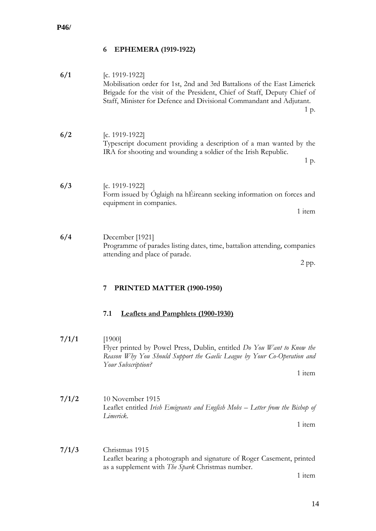# <span id="page-16-0"></span>**6 EPHEMERA (1919-1922)**

<span id="page-16-2"></span><span id="page-16-1"></span>

| 6/1   | [c. 1919-1922]<br>Mobilisation order for 1st, 2nd and 3rd Battalions of the East Limerick<br>Brigade for the visit of the President, Chief of Staff, Deputy Chief of<br>Staff, Minister for Defence and Divisional Commandant and Adjutant.<br>1 p. |
|-------|-----------------------------------------------------------------------------------------------------------------------------------------------------------------------------------------------------------------------------------------------------|
| 6/2   | [c. 1919-1922]<br>Typescript document providing a description of a man wanted by the<br>IRA for shooting and wounding a soldier of the Irish Republic.<br>1 p.                                                                                      |
| 6/3   | [c. 1919-1922]<br>Form issued by Óglaigh na hÉireann seeking information on forces and<br>equipment in companies.<br>1 item                                                                                                                         |
| 6/4   | December [1921]<br>Programme of parades listing dates, time, battalion attending, companies<br>attending and place of parade.<br>2 pp.                                                                                                              |
|       |                                                                                                                                                                                                                                                     |
|       | PRINTED MATTER (1900-1950)<br>7                                                                                                                                                                                                                     |
|       | 7.1<br><b>Leaflets and Pamphlets (1900-1930)</b>                                                                                                                                                                                                    |
| 7/1/1 | [1900]<br>Flyer printed by Powel Press, Dublin, entitled Do You Want to Know the<br>Reason Why You Should Support the Gaelic League by Your Co-Operation and<br>Your Subscription?<br>1 item                                                        |
| 7/1/2 | 10 November 1915<br>Leaflet entitled Irish Emigrants and English Mobs – Letter from the Bishop of<br>Limerick.<br>1 item                                                                                                                            |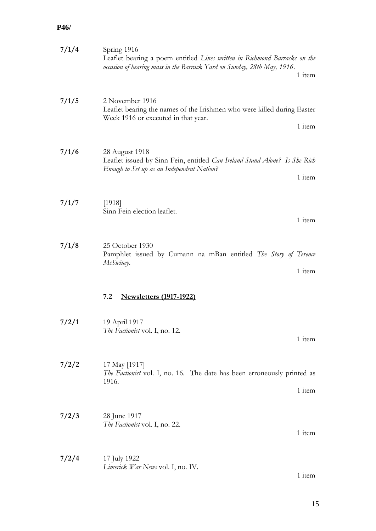<span id="page-17-0"></span>

| 7/1/4 | Spring 1916<br>Leaflet bearing a poem entitled Lines written in Richmond Barracks on the<br>occasion of hearing mass in the Barrack Yard on Sunday, 28th May, 1916.<br>1 item |
|-------|-------------------------------------------------------------------------------------------------------------------------------------------------------------------------------|
| 7/1/5 | 2 November 1916<br>Leaflet bearing the names of the Irishmen who were killed during Easter<br>Week 1916 or executed in that year.<br>1 item                                   |
| 7/1/6 | 28 August 1918<br>Leaflet issued by Sinn Fein, entitled <i>Can Ireland Stand Alone?</i> Is She Rich<br>Enough to Set up as an Independent Nation?<br>1 item                   |
| 7/1/7 | [1918]<br>Sinn Fein election leaflet.<br>1 item                                                                                                                               |
| 7/1/8 | 25 October 1930<br>Pamphlet issued by Cumann na mBan entitled The Story of Terence<br>McSwiney.<br>1 item                                                                     |
|       | <b>Newsletters (1917-1922)</b><br>7.2                                                                                                                                         |
| 7/2/1 | 19 April 1917<br>The Factionist vol. I, no. 12.<br>1 item                                                                                                                     |
| 7/2/2 | 17 May [1917]<br><i>The Factionist</i> vol. I, no. 16. The date has been erroneously printed as<br>1916.<br>1 item                                                            |
| 7/2/3 | 28 June 1917<br>The Factionist vol. I, no. 22.<br>1 item                                                                                                                      |
| 7/2/4 | 17 July 1922<br>Limerick War News vol. I, no. IV.<br>1 item                                                                                                                   |